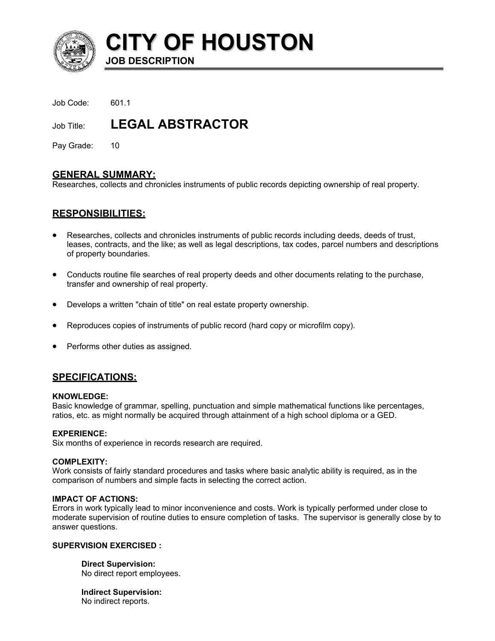

**CITY OF HOUSTON JOB DESCRIPTION** 

Job Code: 601.1

Job Title: **LEGAL ABSTRACTOR** 

Pay Grade: 10

## **GENERAL SUMMARY:**

Researches, collects and chronicles instruments of public records depicting ownership of real property.

# **RESPONSIBILITIES:**

- Researches, collects and chronicles instruments of public records including deeds, deeds of trust, leases, contracts, and the like; as well as legal descriptions, tax codes, parcel numbers and descriptions of property boundaries.
- Conducts routine file searches of real property deeds and other documents relating to the purchase, transfer and ownership of real property.
- Develops a written "chain of title" on real estate property ownership.
- Reproduces copies of instruments of public record (hard copy or microfilm copy).
- Performs other duties as assigned.

# **SPECIFICATIONS:**

#### **KNOWLEDGE:**

Basic knowledge of grammar, spelling, punctuation and simple mathematical functions like percentages, ratios, etc. as might normally be acquired through attainment of a high school diploma or a GED.

## **EXPERIENCE:**

Six months of experience in records research are required.

#### **COMPLEXITY:**

Work consists of fairly standard procedures and tasks where basic analytic ability is required, as in the comparison of numbers and simple facts in selecting the correct action.

### **IMPACT OF ACTIONS:**

Errors in work typically lead to minor inconvenience and costs. Work is typically performed under close to moderate supervision of routine duties to ensure completion of tasks. The supervisor is generally close by to answer questions.

#### **SUPERVISION EXERCISED :**

**Direct Supervision:** No direct report employees.

**Indirect Supervision:** No indirect reports.